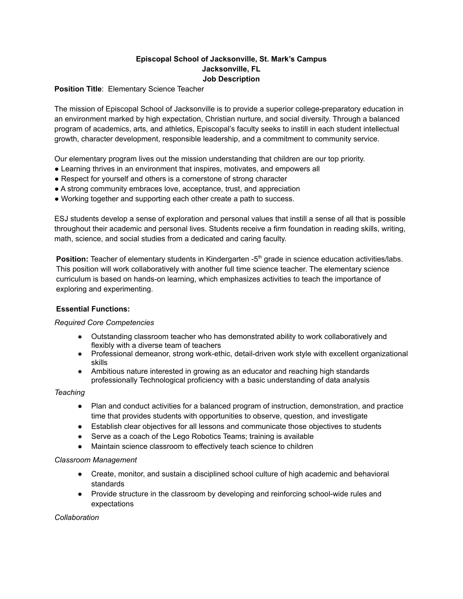# **Episcopal School of Jacksonville, St. Mark's Campus Jacksonville, FL Job Description**

**Position Title**: Elementary Science Teacher

The mission of Episcopal School of Jacksonville is to provide a superior college-preparatory education in an environment marked by high expectation, Christian nurture, and social diversity. Through a balanced program of academics, arts, and athletics, Episcopal's faculty seeks to instill in each student intellectual growth, character development, responsible leadership, and a commitment to community service.

Our elementary program lives out the mission understanding that children are our top priority.

- Learning thrives in an environment that inspires, motivates, and empowers all
- Respect for yourself and others is a cornerstone of strong character
- A strong community embraces love, acceptance, trust, and appreciation
- Working together and supporting each other create a path to success.

ESJ students develop a sense of exploration and personal values that instill a sense of all that is possible throughout their academic and personal lives. Students receive a firm foundation in reading skills, writing, math, science, and social studies from a dedicated and caring faculty.

Position: Teacher of elementary students in Kindergarten -5<sup>th</sup> grade in science education activities/labs. This position will work collaboratively with another full time science teacher. The elementary science curriculum is based on hands-on learning, which emphasizes activities to teach the importance of exploring and experimenting.

# **Essential Functions:**

# *Required Core Competencies*

- Outstanding classroom teacher who has demonstrated ability to work collaboratively and flexibly with a diverse team of teachers
- Professional demeanor, strong work-ethic, detail-driven work style with excellent organizational skills
- Ambitious nature interested in growing as an educator and reaching high standards professionally Technological proficiency with a basic understanding of data analysis

# *Teaching*

- Plan and conduct activities for a balanced program of instruction, demonstration, and practice time that provides students with opportunities to observe, question, and investigate
- Establish clear objectives for all lessons and communicate those objectives to students
- Serve as a coach of the Lego Robotics Teams; training is available
- Maintain science classroom to effectively teach science to children

#### *Classroom Management*

- Create, monitor, and sustain a disciplined school culture of high academic and behavioral standards
- Provide structure in the classroom by developing and reinforcing school-wide rules and expectations

*Collaboration*